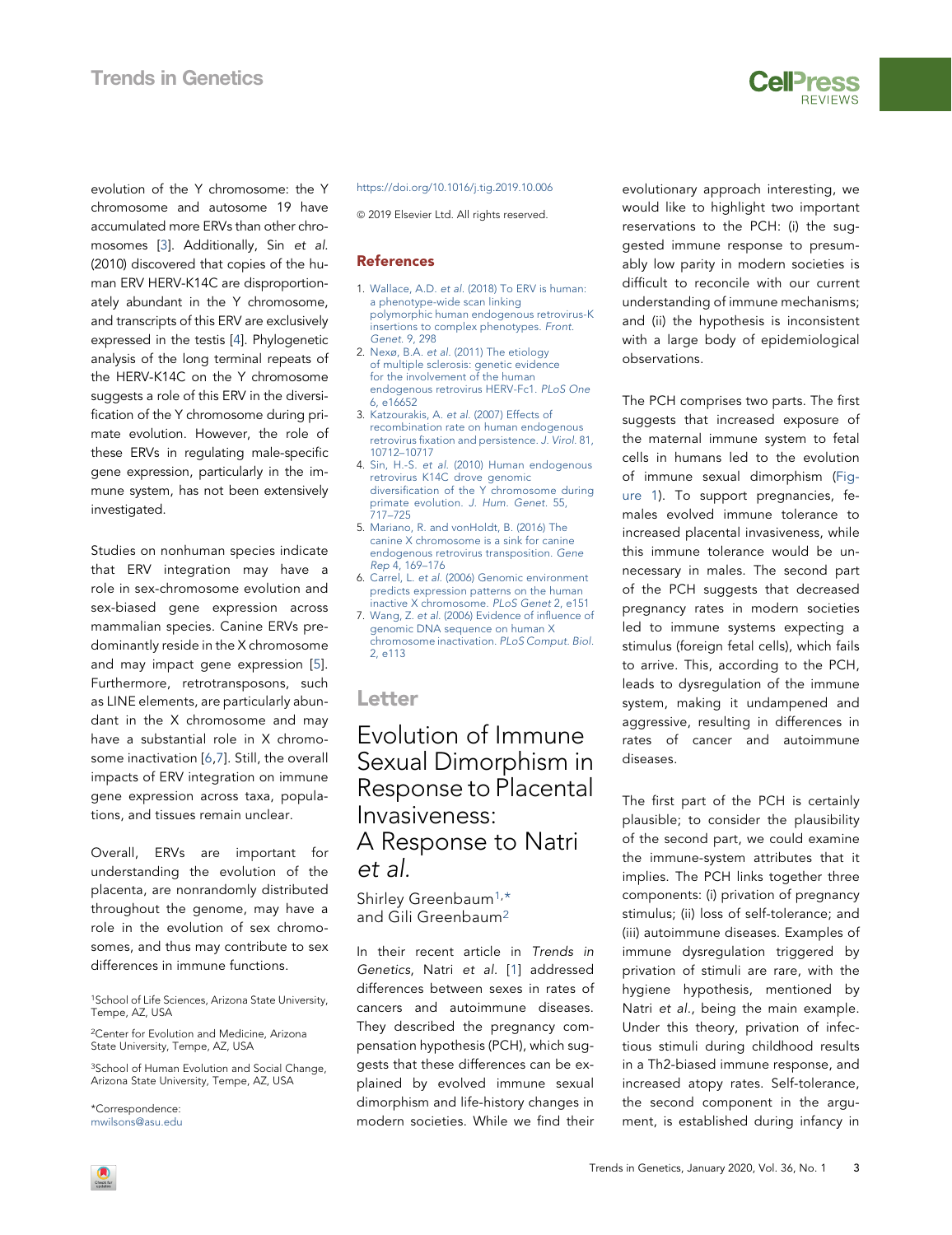

evolution of the Y chromosome: the Y chromosome and autosome 19 have accumulated more ERVs than other chromosomes [[3](#page-0-0)]. Additionally, Sin et al. (2010) discovered that copies of the human ERV HERV-K14C are disproportionately abundant in the Y chromosome, and transcripts of this ERV are exclusively expressed in the testis [[4\]](#page-0-1). Phylogenetic analysis of the long terminal repeats of the HERV-K14C on the Y chromosome suggests a role of this ERV in the diversification of the Y chromosome during primate evolution. However, the role of these ERVs in regulating male-specific gene expression, particularly in the immune system, has not been extensively investigated.

Studies on nonhuman species indicate that ERV integration may have a role in sex-chromosome evolution and sex-biased gene expression across mammalian species. Canine ERVs predominantly reside in the X chromosome and may impact gene expression [[5](#page-0-2)]. Furthermore, retrotransposons, such as LINE elements, are particularly abundant in the X chromosome and may have a substantial role in X chromosome inactivation [[6,](#page-0-3)[7\]](#page-0-4). Still, the overall impacts of ERV integration on immune gene expression across taxa, populations, and tissues remain unclear.

Overall, ERVs are important for understanding the evolution of the placenta, are nonrandomly distributed throughout the genome, may have a role in the evolution of sex chromosomes, and thus may contribute to sex differences in immune functions.

<sup>1</sup>School of Life Sciences, Arizona State University, Tempe, AZ, USA

2Center for Evolution and Medicine, Arizona State University, Tempe, AZ, USA

3School of Human Evolution and Social Change, Arizona State University, Tempe, AZ, USA

\*Correspondence: [mwilsons@asu.edu](mailto:mwilsons@asu.edu)

#### <https://doi.org/10.1016/j.tig.2019.10.006>

<sup>©</sup> 2019 Elsevier Ltd. All rights reserved.

### References

- 1. Wallace, A.D. et al[. \(2018\) To ERV is human:](http://refhub.elsevier.com/S0168-9525(19)30200-8/sref1) [a phenotype-wide scan linking](http://refhub.elsevier.com/S0168-9525(19)30200-8/sref1) [polymorphic human endogenous retrovirus-K](http://refhub.elsevier.com/S0168-9525(19)30200-8/sref1) [insertions to complex phenotypes.](http://refhub.elsevier.com/S0168-9525(19)30200-8/sref1) Front. [Genet.](http://refhub.elsevier.com/S0168-9525(19)30200-8/sref1) 9, 298
- 2. Nexø, B.A. et al[. \(2011\) The etiology](http://refhub.elsevier.com/S0168-9525(19)30200-8/sref2) [of multiple sclerosis: genetic evidence](http://refhub.elsevier.com/S0168-9525(19)30200-8/sref2) [for the involvement of the human](http://refhub.elsevier.com/S0168-9525(19)30200-8/sref2) [endogenous retrovirus HERV-Fc1.](http://refhub.elsevier.com/S0168-9525(19)30200-8/sref2) PLoS One [6, e16652](http://refhub.elsevier.com/S0168-9525(19)30200-8/sref2)
- <span id="page-0-0"></span>3. Katzourakis, A. et al[. \(2007\) Effects of](http://refhub.elsevier.com/S0168-9525(19)30200-8/sref3) [recombination rate on human endogenous](http://refhub.elsevier.com/S0168-9525(19)30200-8/sref3) [retrovirus fixation and persistence.](http://refhub.elsevier.com/S0168-9525(19)30200-8/sref3) J. Virol. 81, [10712–10717](http://refhub.elsevier.com/S0168-9525(19)30200-8/sref3)
- <span id="page-0-1"></span>4. Sin, H.-S. et al[. \(2010\) Human endogenous](http://refhub.elsevier.com/S0168-9525(19)30200-8/sref4) [retrovirus K14C drove genomic](http://refhub.elsevier.com/S0168-9525(19)30200-8/sref4) [diversification of the Y chromosome during](http://refhub.elsevier.com/S0168-9525(19)30200-8/sref4) [primate evolution.](http://refhub.elsevier.com/S0168-9525(19)30200-8/sref4) J. Hum. Genet. 55, [717–725](http://refhub.elsevier.com/S0168-9525(19)30200-8/sref4)
- <span id="page-0-2"></span>5. [Mariano, R. and vonHoldt, B. \(2016\) The](http://refhub.elsevier.com/S0168-9525(19)30200-8/sref5) [canine X chromosome is a sink for canine](http://refhub.elsevier.com/S0168-9525(19)30200-8/sref5) [endogenous retrovirus transposition.](http://refhub.elsevier.com/S0168-9525(19)30200-8/sref5) Gene Rep [4, 169–176](http://refhub.elsevier.com/S0168-9525(19)30200-8/sref5)
- <span id="page-0-3"></span>6. Carrel, L. et al[. \(2006\) Genomic environment](http://refhub.elsevier.com/S0168-9525(19)30200-8/sref6) [predicts expression patterns on the human](http://refhub.elsevier.com/S0168-9525(19)30200-8/sref6) [inactive X chromosome.](http://refhub.elsevier.com/S0168-9525(19)30200-8/sref6) PLoS Genet 2, e151
- <span id="page-0-4"></span>7. Wang, Z. et al[. \(2006\) Evidence of influence of](http://refhub.elsevier.com/S0168-9525(19)30200-8/sref7) [genomic DNA sequence on human X](http://refhub.elsevier.com/S0168-9525(19)30200-8/sref7) [chromosome inactivation.](http://refhub.elsevier.com/S0168-9525(19)30200-8/sref7) PLoS Comput. Biol. [2, e113](http://refhub.elsevier.com/S0168-9525(19)30200-8/sref7)

## **Letter**

Evolution of Immune Sexual Dimorphism in Response to Placental Invasiveness: A Response to Natri et al.

Shirley Greenbaum<sup>[1](#page-2-0),[\\*](#page-2-1)</sup> and Gili Greenbaum[2](#page-2-2)

In their recent article in Trends in Genetics, Natri et al. [\[1](#page-2-3)] addressed differences between sexes in rates of cancers and autoimmune diseases. They described the pregnancy compensation hypothesis (PCH), which suggests that these differences can be explained by evolved immune sexual dimorphism and life-history changes in modern societies. While we find their

evolutionary approach interesting, we would like to highlight two important reservations to the PCH: (i) the suggested immune response to presumably low parity in modern societies is difficult to reconcile with our current understanding of immune mechanisms; and (ii) the hypothesis is inconsistent with a large body of epidemiological observations.

The PCH comprises two parts. The first suggests that increased exposure of the maternal immune system to fetal cells in humans led to the evolution of immune sexual dimorphism ([Fig](#page-1-0)[ure 1](#page-1-0)). To support pregnancies, females evolved immune tolerance to increased placental invasiveness, while this immune tolerance would be unnecessary in males. The second part of the PCH suggests that decreased pregnancy rates in modern societies led to immune systems expecting a stimulus (foreign fetal cells), which fails to arrive. This, according to the PCH, leads to dysregulation of the immune system, making it undampened and aggressive, resulting in differences in rates of cancer and autoimmune diseases.

The first part of the PCH is certainly plausible; to consider the plausibility of the second part, we could examine the immune-system attributes that it implies. The PCH links together three components: (i) privation of pregnancy stimulus; (ii) loss of self-tolerance; and (iii) autoimmune diseases. Examples of immune dysregulation triggered by privation of stimuli are rare, with the hygiene hypothesis, mentioned by Natri et al., being the main example. Under this theory, privation of infectious stimuli during childhood results in a Th2-biased immune response, and increased atopy rates. Self-tolerance, the second component in the argument, is established during infancy in

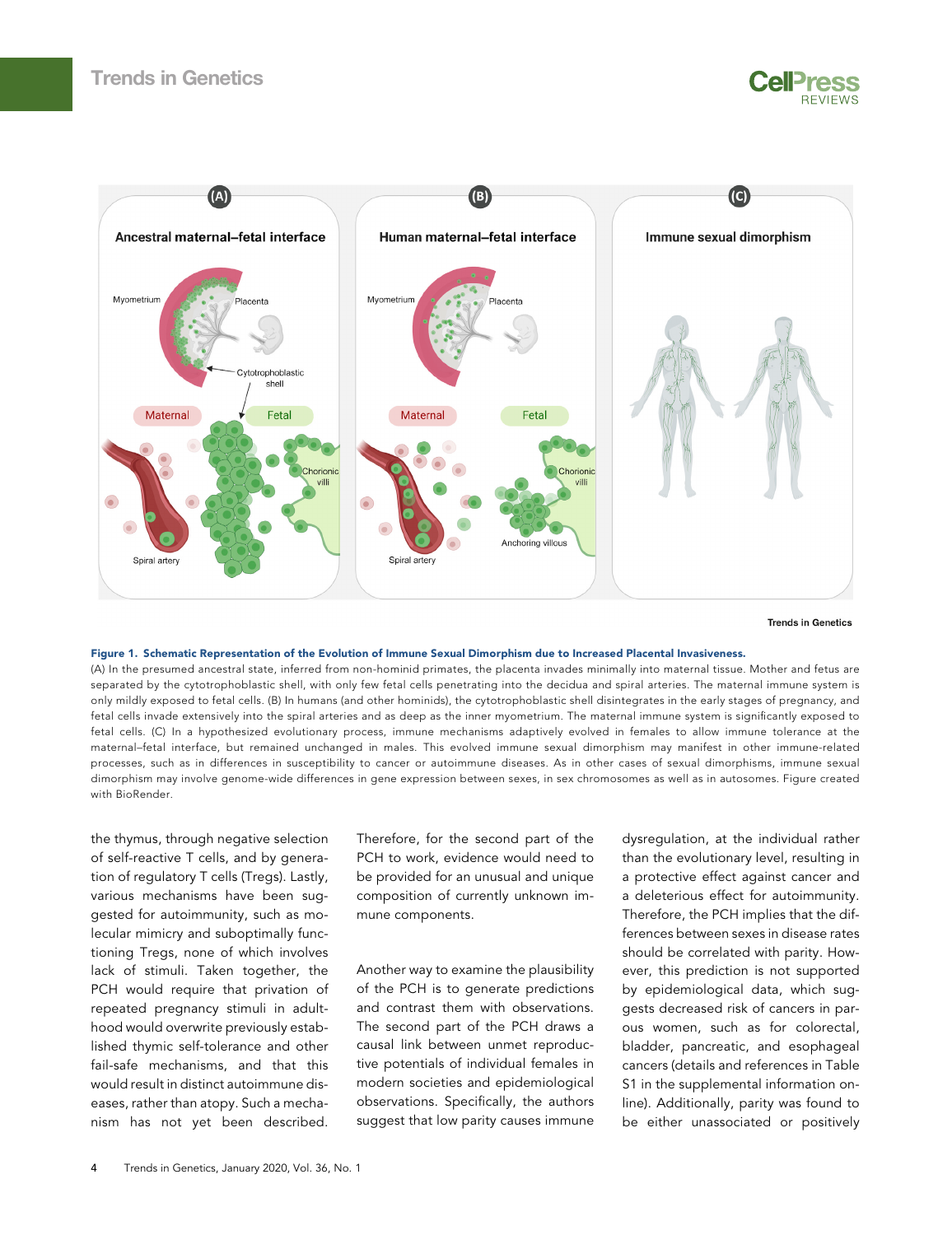<span id="page-1-0"></span>

**Trends in Genetics** 

#### Figure 1. Schematic Representation of the Evolution of Immune Sexual Dimorphism due to Increased Placental Invasiveness.

(A) In the presumed ancestral state, inferred from non-hominid primates, the placenta invades minimally into maternal tissue. Mother and fetus are separated by the cytotrophoblastic shell, with only few fetal cells penetrating into the decidua and spiral arteries. The maternal immune system is only mildly exposed to fetal cells. (B) In humans (and other hominids), the cytotrophoblastic shell disintegrates in the early stages of pregnancy, and fetal cells invade extensively into the spiral arteries and as deep as the inner myometrium. The maternal immune system is significantly exposed to fetal cells. (C) In a hypothesized evolutionary process, immune mechanisms adaptively evolved in females to allow immune tolerance at the maternal–fetal interface, but remained unchanged in males. This evolved immune sexual dimorphism may manifest in other immune-related processes, such as in differences in susceptibility to cancer or autoimmune diseases. As in other cases of sexual dimorphisms, immune sexual dimorphism may involve genome-wide differences in gene expression between sexes, in sex chromosomes as well as in autosomes. Figure created with BioRender.

the thymus, through negative selection of self-reactive T cells, and by generation of regulatory T cells (Tregs). Lastly, various mechanisms have been suggested for autoimmunity, such as molecular mimicry and suboptimally functioning Tregs, none of which involves lack of stimuli. Taken together, the PCH would require that privation of repeated pregnancy stimuli in adulthood would overwrite previously established thymic self-tolerance and other fail-safe mechanisms, and that this would result in distinct autoimmune diseases, rather than atopy. Such a mechanism has not yet been described.

Therefore, for the second part of the PCH to work, evidence would need to be provided for an unusual and unique composition of currently unknown immune components.

Another way to examine the plausibility of the PCH is to generate predictions and contrast them with observations. The second part of the PCH draws a causal link between unmet reproductive potentials of individual females in modern societies and epidemiological observations. Specifically, the authors suggest that low parity causes immune

dysregulation, at the individual rather than the evolutionary level, resulting in a protective effect against cancer and a deleterious effect for autoimmunity. Therefore, the PCH implies that the differences between sexes in disease rates should be correlated with parity. However, this prediction is not supported by epidemiological data, which suggests decreased risk of cancers in parous women, such as for colorectal, bladder, pancreatic, and esophageal cancers (details and references in Table S1 in the supplemental information online). Additionally, parity was found to be either unassociated or positively